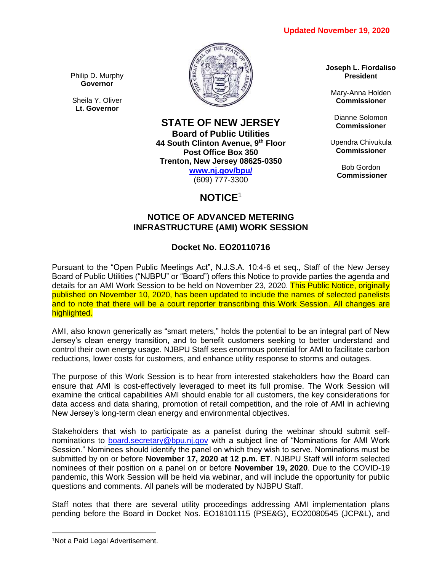

Philip D. Murphy **Governor**

Sheila Y. Oliver **Lt. Governor**

### **STATE OF NEW JERSEY Board of Public Utilities 44 South Clinton Avenue, 9th Floor Post Office Box 350**

**Trenton, New Jersey 08625-0350 [www.nj.gov/bpu/](http://www.nj.gov/bpu/)**

(609) 777-3300

# **NOTICE**<sup>1</sup>

## **NOTICE OF ADVANCED METERING INFRASTRUCTURE (AMI) WORK SESSION**

## **Docket No. EO20110716**

Pursuant to the "Open Public Meetings Act", N.J.S.A. 10:4-6 et seq., Staff of the New Jersey Board of Public Utilities ("NJBPU" or "Board") offers this Notice to provide parties the agenda and details for an AMI Work Session to be held on November 23, 2020. This Public Notice, originally published on November 10, 2020, has been updated to include the names of selected panelists and to note that there will be a court reporter transcribing this Work Session. All changes are highlighted.

AMI, also known generically as "smart meters," holds the potential to be an integral part of New Jersey's clean energy transition, and to benefit customers seeking to better understand and control their own energy usage. NJBPU Staff sees enormous potential for AMI to facilitate carbon reductions, lower costs for customers, and enhance utility response to storms and outages.

The purpose of this Work Session is to hear from interested stakeholders how the Board can ensure that AMI is cost-effectively leveraged to meet its full promise. The Work Session will examine the critical capabilities AMI should enable for all customers, the key considerations for data access and data sharing, promotion of retail competition, and the role of AMI in achieving New Jersey's long-term clean energy and environmental objectives.

Stakeholders that wish to participate as a panelist during the webinar should submit selfnominations to [board.secretary@bpu.nj.gov](mailto:board.secretary@bpu.nj.gov) with a subject line of "Nominations for AMI Work Session." Nominees should identify the panel on which they wish to serve. Nominations must be submitted by on or before **November 17, 2020 at 12 p.m. ET**. NJBPU Staff will inform selected nominees of their position on a panel on or before **November 19, 2020**. Due to the COVID-19 pandemic, this Work Session will be held via webinar, and will include the opportunity for public questions and comments. All panels will be moderated by NJBPU Staff.

Staff notes that there are several utility proceedings addressing AMI implementation plans pending before the Board in Docket Nos. EO18101115 (PSE&G), EO20080545 (JCP&L), and

 $\overline{\phantom{a}}$ 

**Joseph L. Fiordaliso President**

Mary-Anna Holden **Commissioner**

Dianne Solomon **Commissioner**

Upendra Chivukula **Commissioner**

> Bob Gordon **Commissioner**

<sup>1</sup>Not a Paid Legal Advertisement.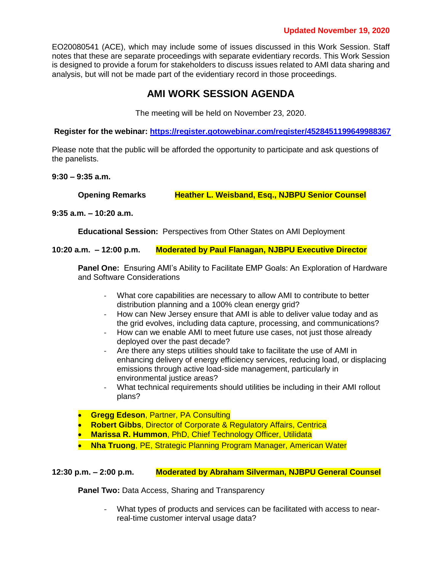EO20080541 (ACE), which may include some of issues discussed in this Work Session. Staff notes that these are separate proceedings with separate evidentiary records. This Work Session is designed to provide a forum for stakeholders to discuss issues related to AMI data sharing and analysis, but will not be made part of the evidentiary record in those proceedings.

# **AMI WORK SESSION AGENDA**

The meeting will be held on November 23, 2020.

**Register for the webinar: <https://register.gotowebinar.com/register/4528451199649988367>**

Please note that the public will be afforded the opportunity to participate and ask questions of the panelists.

#### **9:30 – 9:35 a.m.**

**Opening Remarks Heather L. Weisband, Esq., NJBPU Senior Counsel**

**9:35 a.m. – 10:20 a.m.**

**Educational Session:** Perspectives from Other States on AMI Deployment

**10:20 a.m. – 12:00 p.m. Moderated by Paul Flanagan, NJBPU Executive Director**

**Panel One:** Ensuring AMI's Ability to Facilitate EMP Goals: An Exploration of Hardware and Software Considerations

- What core capabilities are necessary to allow AMI to contribute to better distribution planning and a 100% clean energy grid?
- How can New Jersey ensure that AMI is able to deliver value today and as the grid evolves, including data capture, processing, and communications?
- How can we enable AMI to meet future use cases, not just those already deployed over the past decade?
- Are there any steps utilities should take to facilitate the use of AMI in enhancing delivery of energy efficiency services, reducing load, or displacing emissions through active load-side management, particularly in environmental justice areas?
- What technical requirements should utilities be including in their AMI rollout plans?
- **Gregg Edeson**, Partner, PA Consulting
- **Robert Gibbs**, Director of Corporate & Regulatory Affairs, Centrica
- **Marissa R. Hummon**, PhD, Chief Technology Officer, Utilidata
- **Nha Truong**, PE, Strategic Planning Program Manager, American Water

**12:30 p.m. – 2:00 p.m. Moderated by Abraham Silverman, NJBPU General Counsel**

**Panel Two: Data Access, Sharing and Transparency** 

What types of products and services can be facilitated with access to nearreal-time customer interval usage data?